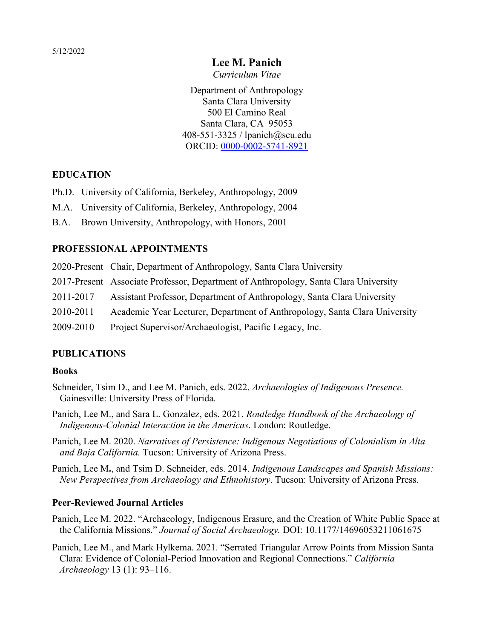# **Lee M. Panich**

*Curriculum Vitae* 

Department of Anthropology Santa Clara University 500 El Camino Real Santa Clara, CA 95053 408-551-3325 / lpanich@scu.edu ORCID: [0000-0002-5741-8921](https://orcid.org/0000-0002-5741-8921)

### **EDUCATION**

- Ph.D. University of California, Berkeley, Anthropology, 2009
- M.A. University of California, Berkeley, Anthropology, 2004
- B.A. Brown University, Anthropology, with Honors, 2001

### **PROFESSIONAL APPOINTMENTS**

2020-Present Chair, Department of Anthropology, Santa Clara University

- 2017-Present Associate Professor, Department of Anthropology, Santa Clara University
- 2011-2017 Assistant Professor, Department of Anthropology, Santa Clara University
- 2010-2011 Academic Year Lecturer, Department of Anthropology, Santa Clara University
- 2009-2010 Project Supervisor/Archaeologist, Pacific Legacy, Inc.

# **PUBLICATIONS**

### **Books**

- Schneider, Tsim D., and Lee M. Panich, eds. 2022. *Archaeologies of Indigenous Presence.* Gainesville: University Press of Florida.
- Panich, Lee M., and Sara L. Gonzalez, eds. 2021. *Routledge Handbook of the Archaeology of Indigenous-Colonial Interaction in the Americas*. London: Routledge.
- Panich, Lee M. 2020. *Narratives of Persistence: Indigenous Negotiations of Colonialism in Alta and Baja California.* Tucson: University of Arizona Press.

Panich, Lee M**.**, and Tsim D. Schneider, eds. 2014. *Indigenous Landscapes and Spanish Missions: New Perspectives from Archaeology and Ethnohistory*. Tucson: University of Arizona Press.

### **Peer-Reviewed Journal Articles**

- Panich, Lee M. 2022. "Archaeology, Indigenous Erasure, and the Creation of White Public Space at the California Missions." *Journal of Social Archaeology.* DOI: 10.1177/14696053211061675
- Panich, Lee M., and Mark Hylkema. 2021. "Serrated Triangular Arrow Points from Mission Santa Clara: Evidence of Colonial-Period Innovation and Regional Connections." *California Archaeology* 13 (1): 93–116.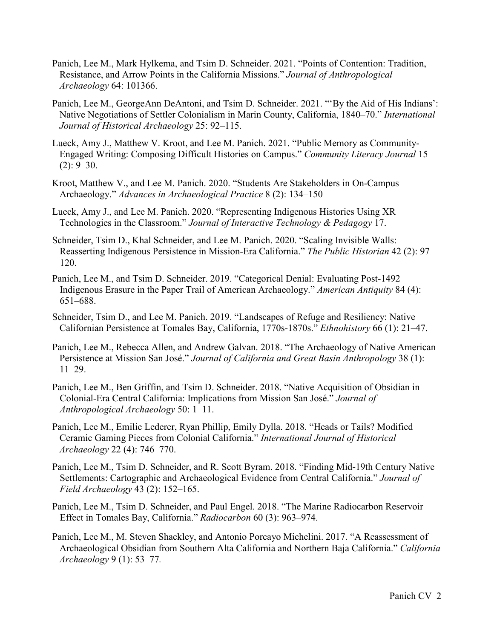- Panich, Lee M., Mark Hylkema, and Tsim D. Schneider. 2021. "Points of Contention: Tradition, Resistance, and Arrow Points in the California Missions." *Journal of Anthropological Archaeology* 64: 101366.
- Panich, Lee M., GeorgeAnn DeAntoni, and Tsim D. Schneider. 2021. "'By the Aid of His Indians': Native Negotiations of Settler Colonialism in Marin County, California, 1840–70." *International Journal of Historical Archaeology* 25: 92–115.
- Lueck, Amy J., Matthew V. Kroot, and Lee M. Panich. 2021. "Public Memory as Community-Engaged Writing: Composing Difficult Histories on Campus." *Community Literacy Journal* 15  $(2): 9 - 30.$
- Kroot, Matthew V., and Lee M. Panich. 2020. "Students Are Stakeholders in On-Campus Archaeology." *Advances in Archaeological Practice* 8 (2): 134–150
- Lueck, Amy J., and Lee M. Panich. 2020. "Representing Indigenous Histories Using XR Technologies in the Classroom." *Journal of Interactive Technology & Pedagogy* 17.
- Schneider, Tsim D., Khal Schneider, and Lee M. Panich. 2020. "Scaling Invisible Walls: Reasserting Indigenous Persistence in Mission-Era California." *The Public Historian* 42 (2): 97– 120.
- Panich, Lee M., and Tsim D. Schneider. 2019. "Categorical Denial: Evaluating Post-1492 Indigenous Erasure in the Paper Trail of American Archaeology." *American Antiquity* 84 (4): 651–688.
- Schneider, Tsim D., and Lee M. Panich. 2019. "Landscapes of Refuge and Resiliency: Native Californian Persistence at Tomales Bay, California, 1770s-1870s." *Ethnohistory* 66 (1): 21–47.
- Panich, Lee M., Rebecca Allen, and Andrew Galvan. 2018. "The Archaeology of Native American Persistence at Mission San José." *Journal of California and Great Basin Anthropology* 38 (1): 11–29.
- Panich, Lee M., Ben Griffin, and Tsim D. Schneider. 2018. "Native Acquisition of Obsidian in Colonial-Era Central California: Implications from Mission San José." *Journal of Anthropological Archaeology* 50: 1–11.
- Panich, Lee M., Emilie Lederer, Ryan Phillip, Emily Dylla. 2018. "Heads or Tails? Modified Ceramic Gaming Pieces from Colonial California." *International Journal of Historical Archaeology* 22 (4): 746–770.
- Panich, Lee M., Tsim D. Schneider, and R. Scott Byram. 2018. "Finding Mid-19th Century Native Settlements: Cartographic and Archaeological Evidence from Central California." *Journal of Field Archaeology* 43 (2): 152–165.
- Panich, Lee M., Tsim D. Schneider, and Paul Engel. 2018. "The Marine Radiocarbon Reservoir Effect in Tomales Bay, California." *Radiocarbon* 60 (3): 963–974.
- Panich, Lee M., M. Steven Shackley, and Antonio Porcayo Michelini. 2017. "A Reassessment of Archaeological Obsidian from Southern Alta California and Northern Baja California." *California Archaeology* 9 (1): 53–77*.*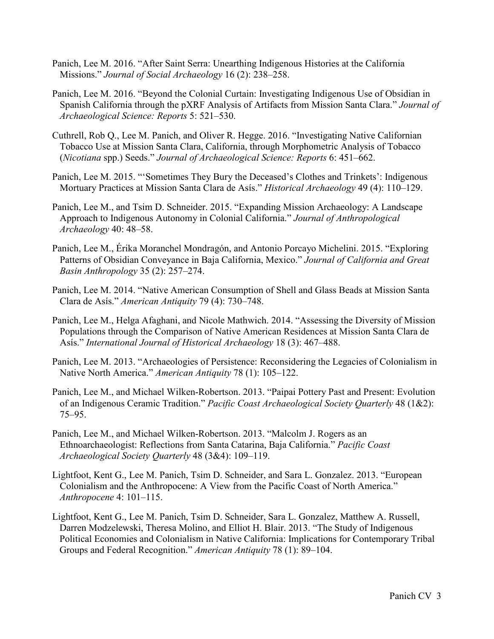- Panich, Lee M. 2016. "After Saint Serra: Unearthing Indigenous Histories at the California Missions." *Journal of Social Archaeology* 16 (2): 238–258.
- Panich, Lee M. 2016. "Beyond the Colonial Curtain: Investigating Indigenous Use of Obsidian in Spanish California through the pXRF Analysis of Artifacts from Mission Santa Clara." *Journal of Archaeological Science: Reports* 5: 521–530.
- Cuthrell, Rob Q., Lee M. Panich, and Oliver R. Hegge. 2016. "Investigating Native Californian Tobacco Use at Mission Santa Clara, California, through Morphometric Analysis of Tobacco (*Nicotiana* spp.) Seeds." *Journal of Archaeological Science: Reports* 6: 451–662.
- Panich, Lee M. 2015. "'Sometimes They Bury the Deceased's Clothes and Trinkets': Indigenous Mortuary Practices at Mission Santa Clara de Asís." *Historical Archaeology* 49 (4): 110–129.
- Panich, Lee M., and Tsim D. Schneider. 2015. "Expanding Mission Archaeology: A Landscape Approach to Indigenous Autonomy in Colonial California." *Journal of Anthropological Archaeology* 40: 48–58.
- Panich, Lee M., Érika Moranchel Mondragón, and Antonio Porcayo Michelini. 2015. "Exploring Patterns of Obsidian Conveyance in Baja California, Mexico." *Journal of California and Great Basin Anthropology* 35 (2): 257–274.
- Panich, Lee M. 2014. "Native American Consumption of Shell and Glass Beads at Mission Santa Clara de Asís." *American Antiquity* 79 (4): 730–748.
- Panich, Lee M., Helga Afaghani, and Nicole Mathwich. 2014. "Assessing the Diversity of Mission Populations through the Comparison of Native American Residences at Mission Santa Clara de Asís." *International Journal of Historical Archaeology* 18 (3): 467–488.
- Panich, Lee M. 2013. "Archaeologies of Persistence: Reconsidering the Legacies of Colonialism in Native North America." *American Antiquity* 78 (1): 105–122.
- Panich, Lee M., and Michael Wilken-Robertson. 2013. "Paipai Pottery Past and Present: Evolution of an Indigenous Ceramic Tradition." *Pacific Coast Archaeological Society Quarterly* 48 (1&2): 75–95.
- Panich, Lee M., and Michael Wilken-Robertson. 2013. "Malcolm J. Rogers as an Ethnoarchaeologist: Reflections from Santa Catarina, Baja California." *Pacific Coast Archaeological Society Quarterly* 48 (3&4): 109–119.
- Lightfoot, Kent G., Lee M. Panich, Tsim D. Schneider, and Sara L. Gonzalez. 2013. "European Colonialism and the Anthropocene: A View from the Pacific Coast of North America." *Anthropocene* 4: 101–115.
- Lightfoot, Kent G., Lee M. Panich, Tsim D. Schneider, Sara L. Gonzalez, Matthew A. Russell, Darren Modzelewski, Theresa Molino, and Elliot H. Blair. 2013. "The Study of Indigenous Political Economies and Colonialism in Native California: Implications for Contemporary Tribal Groups and Federal Recognition." *American Antiquity* 78 (1): 89–104.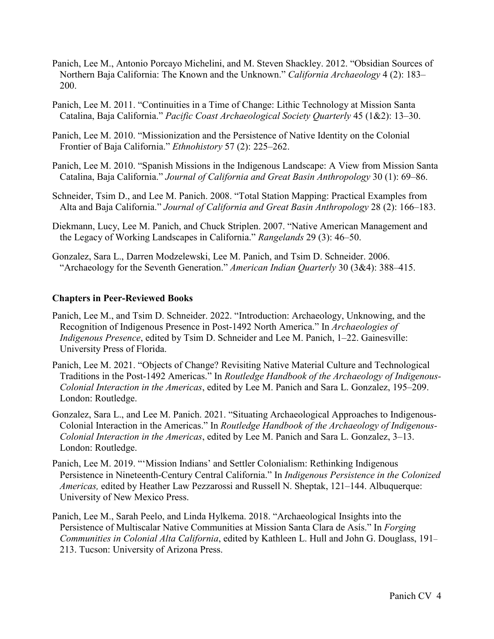- Panich, Lee M., Antonio Porcayo Michelini, and M. Steven Shackley. 2012. "Obsidian Sources of Northern Baja California: The Known and the Unknown." *California Archaeology* 4 (2): 183– 200.
- Panich, Lee M. 2011. "Continuities in a Time of Change: Lithic Technology at Mission Santa Catalina, Baja California." *Pacific Coast Archaeological Society Quarterly* 45 (1&2): 13–30.
- Panich, Lee M. 2010. "Missionization and the Persistence of Native Identity on the Colonial Frontier of Baja California." *Ethnohistory* 57 (2): 225–262.
- Panich, Lee M. 2010. "Spanish Missions in the Indigenous Landscape: A View from Mission Santa Catalina, Baja California." *Journal of California and Great Basin Anthropology* 30 (1): 69–86.
- Schneider, Tsim D., and Lee M. Panich. 2008. "Total Station Mapping: Practical Examples from Alta and Baja California." *Journal of California and Great Basin Anthropology* 28 (2): 166–183.
- Diekmann, Lucy, Lee M. Panich, and Chuck Striplen. 2007. "Native American Management and the Legacy of Working Landscapes in California." *Rangelands* 29 (3): 46–50.
- Gonzalez, Sara L., Darren Modzelewski, Lee M. Panich, and Tsim D. Schneider. 2006. "Archaeology for the Seventh Generation." *American Indian Quarterly* 30 (3&4): 388–415.

### **Chapters in Peer-Reviewed Books**

- Panich, Lee M., and Tsim D. Schneider. 2022. "Introduction: Archaeology, Unknowing, and the Recognition of Indigenous Presence in Post-1492 North America." In *Archaeologies of Indigenous Presence*, edited by Tsim D. Schneider and Lee M. Panich, 1–22. Gainesville: University Press of Florida.
- Panich, Lee M. 2021. "Objects of Change? Revisiting Native Material Culture and Technological Traditions in the Post-1492 Americas." In *Routledge Handbook of the Archaeology of Indigenous-Colonial Interaction in the Americas*, edited by Lee M. Panich and Sara L. Gonzalez, 195–209. London: Routledge.
- Gonzalez, Sara L., and Lee M. Panich. 2021. "Situating Archaeological Approaches to Indigenous-Colonial Interaction in the Americas." In *Routledge Handbook of the Archaeology of Indigenous-Colonial Interaction in the Americas*, edited by Lee M. Panich and Sara L. Gonzalez, 3–13. London: Routledge.
- Panich, Lee M. 2019. "'Mission Indians' and Settler Colonialism: Rethinking Indigenous Persistence in Nineteenth-Century Central California." In *Indigenous Persistence in the Colonized Americas,* edited by Heather Law Pezzarossi and Russell N. Sheptak, 121–144. Albuquerque: University of New Mexico Press.
- Panich, Lee M., Sarah Peelo, and Linda Hylkema. 2018. "Archaeological Insights into the Persistence of Multiscalar Native Communities at Mission Santa Clara de Asís." In *Forging Communities in Colonial Alta California*, edited by Kathleen L. Hull and John G. Douglass, 191– 213. Tucson: University of Arizona Press.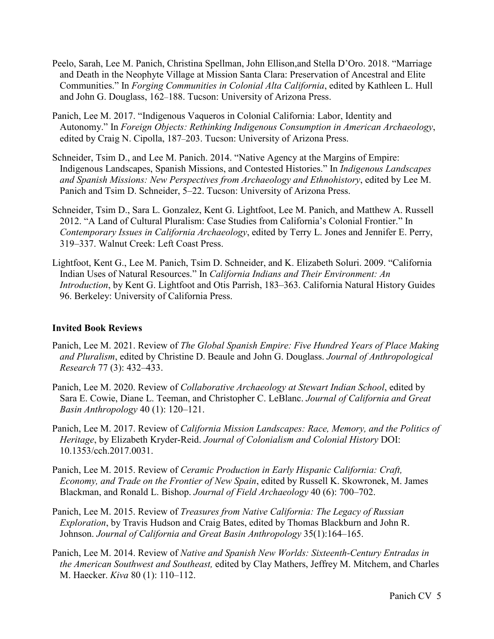- Peelo, Sarah, Lee M. Panich, Christina Spellman, John Ellison,and Stella D'Oro. 2018. "Marriage and Death in the Neophyte Village at Mission Santa Clara: Preservation of Ancestral and Elite Communities." In *Forging Communities in Colonial Alta California*, edited by Kathleen L. Hull and John G. Douglass, 162–188. Tucson: University of Arizona Press.
- Panich, Lee M. 2017. "Indigenous Vaqueros in Colonial California: Labor, Identity and Autonomy." In *Foreign Objects: Rethinking Indigenous Consumption in American Archaeology*, edited by Craig N. Cipolla, 187–203. Tucson: University of Arizona Press.
- Schneider, Tsim D., and Lee M. Panich. 2014. "Native Agency at the Margins of Empire: Indigenous Landscapes, Spanish Missions, and Contested Histories." In *Indigenous Landscapes and Spanish Missions: New Perspectives from Archaeology and Ethnohistory*, edited by Lee M. Panich and Tsim D. Schneider, 5–22. Tucson: University of Arizona Press.
- Schneider, Tsim D., Sara L. Gonzalez, Kent G. Lightfoot, Lee M. Panich, and Matthew A. Russell 2012. "A Land of Cultural Pluralism: Case Studies from California's Colonial Frontier." In *Contemporary Issues in California Archaeology*, edited by Terry L. Jones and Jennifer E. Perry, 319–337. Walnut Creek: Left Coast Press.
- Lightfoot, Kent G., Lee M. Panich, Tsim D. Schneider, and K. Elizabeth Soluri. 2009. "California Indian Uses of Natural Resources." In *California Indians and Their Environment: An Introduction*, by Kent G. Lightfoot and Otis Parrish, 183–363. California Natural History Guides 96. Berkeley: University of California Press.

# **Invited Book Reviews**

- Panich, Lee M. 2021. Review of *The Global Spanish Empire: Five Hundred Years of Place Making and Pluralism*, edited by Christine D. Beaule and John G. Douglass. *Journal of Anthropological Research* 77 (3): 432–433.
- Panich, Lee M. 2020. Review of *Collaborative Archaeology at Stewart Indian School*, edited by Sara E. Cowie, Diane L. Teeman, and Christopher C. LeBlanc. *Journal of California and Great Basin Anthropology* 40 (1): 120–121.
- Panich, Lee M. 2017. Review of *California Mission Landscapes: Race, Memory, and the Politics of Heritage*, by Elizabeth Kryder-Reid. *Journal of Colonialism and Colonial History* DOI: [10.1353/cch.2017.0031.](https://doi.org/10.1353/cch.2017.0031)
- Panich, Lee M. 2015. Review of *Ceramic Production in Early Hispanic California: Craft, Economy, and Trade on the Frontier of New Spain*, edited by Russell K. Skowronek, M. James Blackman, and Ronald L. Bishop. *Journal of Field Archaeology* 40 (6): 700–702.
- Panich, Lee M. 2015. Review of *Treasures from Native California: The Legacy of Russian Exploration*, by Travis Hudson and Craig Bates, edited by Thomas Blackburn and John R. Johnson. *Journal of California and Great Basin Anthropology* 35(1):164–165.
- Panich, Lee M. 2014. Review of *Native and Spanish New Worlds: Sixteenth-Century Entradas in the American Southwest and Southeast,* edited by Clay Mathers, Jeffrey M. Mitchem, and Charles M. Haecker. *Kiva* 80 (1): 110–112.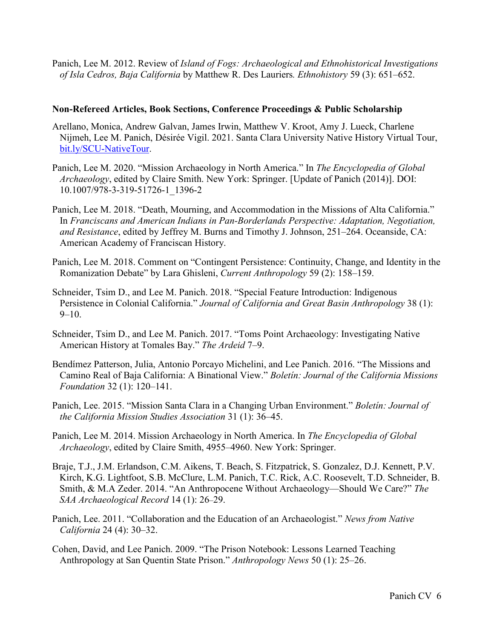Panich, Lee M. 2012. Review of *Island of Fogs: Archaeological and Ethnohistorical Investigations of Isla Cedros, Baja California* by Matthew R. Des Lauriers*. Ethnohistory* 59 (3): 651–652.

### **Non-Refereed Articles, Book Sections, Conference Proceedings & Public Scholarship**

- Arellano, Monica, Andrew Galvan, James Irwin, Matthew V. Kroot, Amy J. Lueck, Charlene Nijmeh, Lee M. Panich, Désirée Vigil. 2021. Santa Clara University Native History Virtual Tour, [bit.ly/SCU-NativeTour.](https://earth.google.com/web/data=MkEKPwo9CiExSWVHMV9keFlFNDFzQTVXWHlaTUNtcXlkZGZNRWh4OGkSFgoUMEUwNjEwNjMzMzE0NkFCMUE4MjMgAQ?authuser=0)
- Panich, Lee M. 2020. "Mission Archaeology in North America." In *The Encyclopedia of Global Archaeology*, edited by Claire Smith. New York: Springer. [Update of Panich (2014)]. DOI: 10.1007/978-3-319-51726-1\_1396-2
- Panich, Lee M. 2018. "Death, Mourning, and Accommodation in the Missions of Alta California." In *Franciscans and American Indians in Pan-Borderlands Perspective: Adaptation, Negotiation, and Resistance*, edited by Jeffrey M. Burns and Timothy J. Johnson, 251–264. Oceanside, CA: American Academy of Franciscan History.
- Panich, Lee M. 2018. Comment on "Contingent Persistence: Continuity, Change, and Identity in the Romanization Debate" by Lara Ghisleni, *Current Anthropology* 59 (2): 158–159.
- Schneider, Tsim D., and Lee M. Panich. 2018. "Special Feature Introduction: Indigenous Persistence in Colonial California." *Journal of California and Great Basin Anthropology* 38 (1):  $9-10.$
- Schneider, Tsim D., and Lee M. Panich. 2017. "Toms Point Archaeology: Investigating Native American History at Tomales Bay." *The Ardeid* 7–9.
- Bendímez Patterson, Julia, Antonio Porcayo Michelini, and Lee Panich. 2016. "The Missions and Camino Real of Baja California: A Binational View." *Boletín: Journal of the California Missions Foundation* 32 (1): 120–141.
- Panich, Lee. 2015. "Mission Santa Clara in a Changing Urban Environment." *Boletín: Journal of the California Mission Studies Association* 31 (1): 36–45.
- Panich, Lee M. 2014. Mission Archaeology in North America. In *The Encyclopedia of Global Archaeology*, edited by Claire Smith, 4955–4960. New York: Springer.
- Braje, T.J., J.M. Erlandson, C.M. Aikens, T. Beach, S. Fitzpatrick, S. Gonzalez, D.J. Kennett, P.V. Kirch, K.G. Lightfoot, S.B. McClure, L.M. Panich, T.C. Rick, A.C. Roosevelt, T.D. Schneider, B. Smith, & M.A Zeder. 2014. "An Anthropocene Without Archaeology—Should We Care?" *The SAA Archaeological Record* 14 (1): 26–29.
- Panich, Lee. 2011. "Collaboration and the Education of an Archaeologist." *News from Native California* 24 (4): 30–32.
- Cohen, David, and Lee Panich. 2009. "The Prison Notebook: Lessons Learned Teaching Anthropology at San Quentin State Prison." *Anthropology News* 50 (1): 25–26.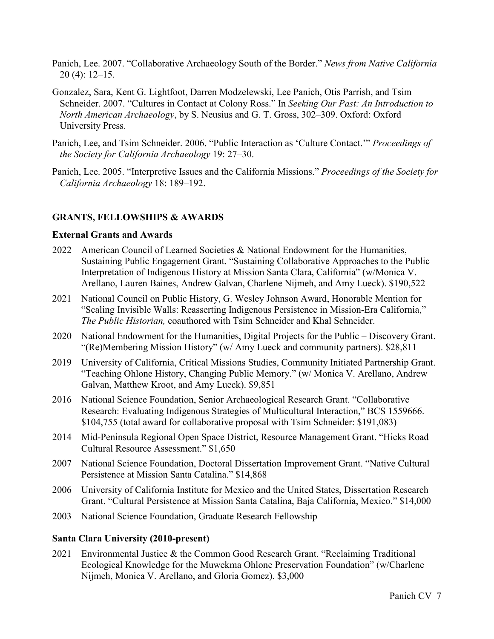- Panich, Lee. 2007. "Collaborative Archaeology South of the Border." *News from Native California* 20 (4): 12–15.
- Gonzalez, Sara, Kent G. Lightfoot, Darren Modzelewski, Lee Panich, Otis Parrish, and Tsim Schneider. 2007. "Cultures in Contact at Colony Ross." In *Seeking Our Past: An Introduction to North American Archaeology*, by S. Neusius and G. T. Gross, 302–309. Oxford: Oxford University Press.
- Panich, Lee, and Tsim Schneider. 2006. "Public Interaction as 'Culture Contact.'" *Proceedings of the Society for California Archaeology* 19: 27–30.
- Panich, Lee. 2005. "Interpretive Issues and the California Missions." *Proceedings of the Society for California Archaeology* 18: 189–192.

### **GRANTS, FELLOWSHIPS & AWARDS**

### **External Grants and Awards**

- 2022 American Council of Learned Societies & National Endowment for the Humanities, Sustaining Public Engagement Grant. "Sustaining Collaborative Approaches to the Public Interpretation of Indigenous History at Mission Santa Clara, California" (w/Monica V. Arellano, Lauren Baines, Andrew Galvan, Charlene Nijmeh, and Amy Lueck). \$190,522
- 2021 National Council on Public History, G. Wesley Johnson Award, Honorable Mention for "Scaling Invisible Walls: Reasserting Indigenous Persistence in Mission-Era California," *The Public Historian,* coauthored with Tsim Schneider and Khal Schneider.
- 2020 National Endowment for the Humanities, Digital Projects for the Public Discovery Grant. "(Re)Membering Mission History" (w/ Amy Lueck and community partners). \$28,811
- 2019 University of California, Critical Missions Studies, Community Initiated Partnership Grant. "Teaching Ohlone History, Changing Public Memory." (w/ Monica V. Arellano, Andrew Galvan, Matthew Kroot, and Amy Lueck). \$9,851
- 2016 National Science Foundation, Senior Archaeological Research Grant. "Collaborative Research: Evaluating Indigenous Strategies of Multicultural Interaction," BCS 1559666. \$104,755 (total award for collaborative proposal with Tsim Schneider: \$191,083)
- 2014 Mid-Peninsula Regional Open Space District, Resource Management Grant. "Hicks Road Cultural Resource Assessment." \$1,650
- 2007 National Science Foundation, Doctoral Dissertation Improvement Grant. "Native Cultural Persistence at Mission Santa Catalina." \$14,868
- 2006 University of California Institute for Mexico and the United States, Dissertation Research Grant. "Cultural Persistence at Mission Santa Catalina, Baja California, Mexico." \$14,000
- 2003 National Science Foundation, Graduate Research Fellowship

### **Santa Clara University (2010-present)**

2021 Environmental Justice & the Common Good Research Grant. "Reclaiming Traditional Ecological Knowledge for the Muwekma Ohlone Preservation Foundation" (w/Charlene Nijmeh, Monica V. Arellano, and Gloria Gomez). \$3,000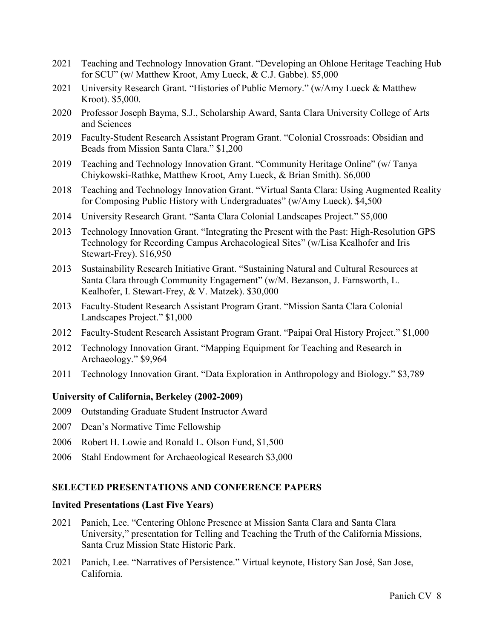- 2021 Teaching and Technology Innovation Grant. "Developing an Ohlone Heritage Teaching Hub for SCU" (w/ Matthew Kroot, Amy Lueck, & C.J. Gabbe). \$5,000
- 2021 University Research Grant. "Histories of Public Memory." (w/Amy Lueck & Matthew Kroot). \$5,000.
- 2020 Professor Joseph Bayma, S.J., Scholarship Award, Santa Clara University College of Arts and Sciences
- 2019 Faculty-Student Research Assistant Program Grant. "Colonial Crossroads: Obsidian and Beads from Mission Santa Clara." \$1,200
- 2019 Teaching and Technology Innovation Grant. "Community Heritage Online" (w/ Tanya Chiykowski-Rathke, Matthew Kroot, Amy Lueck, & Brian Smith). \$6,000
- 2018 Teaching and Technology Innovation Grant. "Virtual Santa Clara: Using Augmented Reality for Composing Public History with Undergraduates" (w/Amy Lueck). \$4,500
- 2014 University Research Grant. "Santa Clara Colonial Landscapes Project." \$5,000
- 2013 Technology Innovation Grant. "Integrating the Present with the Past: High-Resolution GPS Technology for Recording Campus Archaeological Sites" (w/Lisa Kealhofer and Iris Stewart-Frey). \$16,950
- 2013 Sustainability Research Initiative Grant. "Sustaining Natural and Cultural Resources at Santa Clara through Community Engagement" (w/M. Bezanson, J. Farnsworth, L. Kealhofer, I. Stewart-Frey, & V. Matzek). \$30,000
- 2013 Faculty-Student Research Assistant Program Grant. "Mission Santa Clara Colonial Landscapes Project." \$1,000
- 2012 Faculty-Student Research Assistant Program Grant. "Paipai Oral History Project." \$1,000
- 2012 Technology Innovation Grant. "Mapping Equipment for Teaching and Research in Archaeology." \$9,964
- 2011 Technology Innovation Grant. "Data Exploration in Anthropology and Biology." \$3,789

#### **University of California, Berkeley (2002-2009)**

- 2009 Outstanding Graduate Student Instructor Award
- 2007 Dean's Normative Time Fellowship
- 2006 Robert H. Lowie and Ronald L. Olson Fund, \$1,500
- 2006 Stahl Endowment for Archaeological Research \$3,000

#### **SELECTED PRESENTATIONS AND CONFERENCE PAPERS**

#### I**nvited Presentations (Last Five Years)**

- 2021 Panich, Lee. "Centering Ohlone Presence at Mission Santa Clara and Santa Clara University," presentation for Telling and Teaching the Truth of the California Missions, Santa Cruz Mission State Historic Park.
- 2021 Panich, Lee. "Narratives of Persistence." Virtual keynote, History San José, San Jose, California.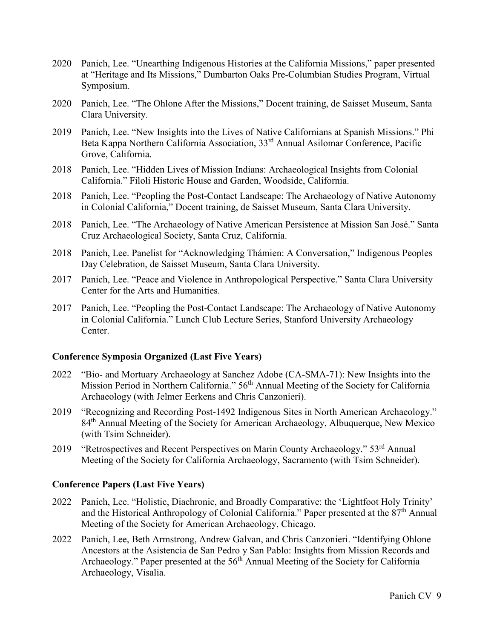- 2020 Panich, Lee. "Unearthing Indigenous Histories at the California Missions," paper presented at "Heritage and Its Missions," Dumbarton Oaks Pre-Columbian Studies Program, Virtual Symposium.
- 2020 Panich, Lee. "The Ohlone After the Missions," Docent training, de Saisset Museum, Santa Clara University.
- 2019 Panich, Lee. "New Insights into the Lives of Native Californians at Spanish Missions." Phi Beta Kappa Northern California Association, 33rd Annual Asilomar Conference, Pacific Grove, California.
- 2018 Panich, Lee. "Hidden Lives of Mission Indians: Archaeological Insights from Colonial California." Filoli Historic House and Garden, Woodside, California.
- 2018 Panich, Lee. "Peopling the Post-Contact Landscape: The Archaeology of Native Autonomy in Colonial California," Docent training, de Saisset Museum, Santa Clara University.
- 2018 Panich, Lee. "The Archaeology of Native American Persistence at Mission San José." Santa Cruz Archaeological Society, Santa Cruz, California.
- 2018 Panich, Lee. Panelist for "Acknowledging Thámien: A Conversation," Indigenous Peoples Day Celebration, de Saisset Museum, Santa Clara University.
- 2017 Panich, Lee. "Peace and Violence in Anthropological Perspective." Santa Clara University Center for the Arts and Humanities.
- 2017 Panich, Lee. "Peopling the Post-Contact Landscape: The Archaeology of Native Autonomy in Colonial California." Lunch Club Lecture Series, Stanford University Archaeology Center.

### **Conference Symposia Organized (Last Five Years)**

- 2022 "Bio- and Mortuary Archaeology at Sanchez Adobe (CA-SMA-71): New Insights into the Mission Period in Northern California." 56<sup>th</sup> Annual Meeting of the Society for California Archaeology (with Jelmer Eerkens and Chris Canzonieri).
- 2019 "Recognizing and Recording Post-1492 Indigenous Sites in North American Archaeology." 84<sup>th</sup> Annual Meeting of the Society for American Archaeology, Albuquerque, New Mexico (with Tsim Schneider).
- 2019 "Retrospectives and Recent Perspectives on Marin County Archaeology." 53rd Annual Meeting of the Society for California Archaeology, Sacramento (with Tsim Schneider).

### **Conference Papers (Last Five Years)**

- 2022 Panich, Lee. "Holistic, Diachronic, and Broadly Comparative: the 'Lightfoot Holy Trinity' and the Historical Anthropology of Colonial California." Paper presented at the  $87<sup>th</sup>$  Annual Meeting of the Society for American Archaeology, Chicago.
- 2022 Panich, Lee, Beth Armstrong, Andrew Galvan, and Chris Canzonieri. "Identifying Ohlone Ancestors at the Asistencia de San Pedro y San Pablo: Insights from Mission Records and Archaeology." Paper presented at the 56<sup>th</sup> Annual Meeting of the Society for California Archaeology, Visalia.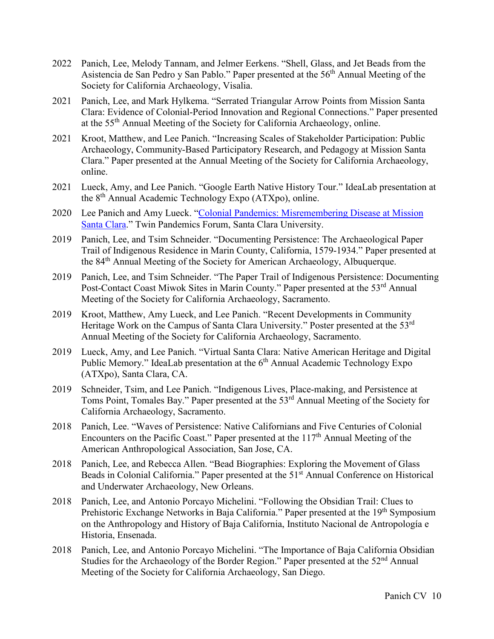- 2022 Panich, Lee, Melody Tannam, and Jelmer Eerkens. "Shell, Glass, and Jet Beads from the Asistencia de San Pedro y San Pablo." Paper presented at the 56<sup>th</sup> Annual Meeting of the Society for California Archaeology, Visalia.
- 2021 Panich, Lee, and Mark Hylkema. "Serrated Triangular Arrow Points from Mission Santa Clara: Evidence of Colonial-Period Innovation and Regional Connections." Paper presented at the 55th Annual Meeting of the Society for California Archaeology, online.
- 2021 Kroot, Matthew, and Lee Panich. "Increasing Scales of Stakeholder Participation: Public Archaeology, Community-Based Participatory Research, and Pedagogy at Mission Santa Clara." Paper presented at the Annual Meeting of the Society for California Archaeology, online.
- 2021 Lueck, Amy, and Lee Panich. "Google Earth Native History Tour." IdeaLab presentation at the 8th Annual Academic Technology Expo (ATXpo), online.
- 2020 Lee Panich and Amy Lueck. ["Colonial Pandemics: Misremembering Disease at Mission](https://colonialpandemics.wordpress.com/)  [Santa Clara.](https://colonialpandemics.wordpress.com/)" Twin Pandemics Forum, Santa Clara University.
- 2019 Panich, Lee, and Tsim Schneider. "Documenting Persistence: The Archaeological Paper Trail of Indigenous Residence in Marin County, California, 1579-1934." Paper presented at the 84th Annual Meeting of the Society for American Archaeology, Albuquerque.
- 2019 Panich, Lee, and Tsim Schneider. "The Paper Trail of Indigenous Persistence: Documenting Post-Contact Coast Miwok Sites in Marin County." Paper presented at the 53<sup>rd</sup> Annual Meeting of the Society for California Archaeology, Sacramento.
- 2019 Kroot, Matthew, Amy Lueck, and Lee Panich. "Recent Developments in Community Heritage Work on the Campus of Santa Clara University." Poster presented at the 53<sup>rd</sup> Annual Meeting of the Society for California Archaeology, Sacramento.
- 2019 Lueck, Amy, and Lee Panich. "Virtual Santa Clara: Native American Heritage and Digital Public Memory." IdeaLab presentation at the 6<sup>th</sup> Annual Academic Technology Expo (ATXpo), Santa Clara, CA.
- 2019 Schneider, Tsim, and Lee Panich. "Indigenous Lives, Place-making, and Persistence at Toms Point, Tomales Bay." Paper presented at the 53<sup>rd</sup> Annual Meeting of the Society for California Archaeology, Sacramento.
- 2018 Panich, Lee. "Waves of Persistence: Native Californians and Five Centuries of Colonial Encounters on the Pacific Coast." Paper presented at the  $117<sup>th</sup>$  Annual Meeting of the American Anthropological Association, San Jose, CA.
- 2018 Panich, Lee, and Rebecca Allen. "Bead Biographies: Exploring the Movement of Glass Beads in Colonial California." Paper presented at the 51<sup>st</sup> Annual Conference on Historical and Underwater Archaeology, New Orleans.
- 2018 Panich, Lee, and Antonio Porcayo Michelini. "Following the Obsidian Trail: Clues to Prehistoric Exchange Networks in Baja California." Paper presented at the 19<sup>th</sup> Symposium on the Anthropology and History of Baja California, Instituto Nacional de Antropología e Historia, Ensenada.
- 2018 Panich, Lee, and Antonio Porcayo Michelini. "The Importance of Baja California Obsidian Studies for the Archaeology of the Border Region." Paper presented at the 52<sup>nd</sup> Annual Meeting of the Society for California Archaeology, San Diego.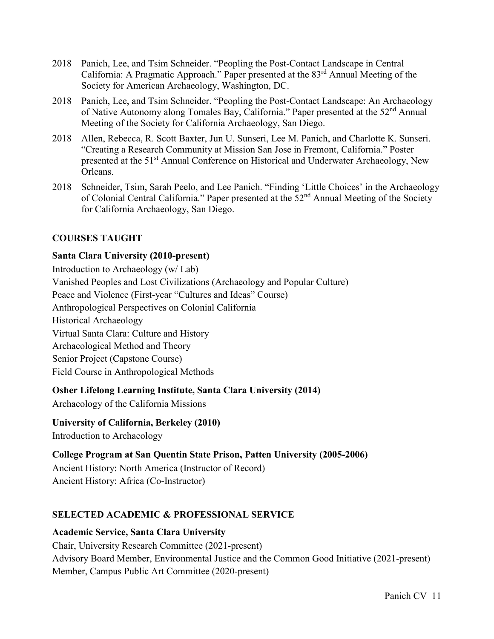- 2018 Panich, Lee, and Tsim Schneider. "Peopling the Post-Contact Landscape in Central California: A Pragmatic Approach." Paper presented at the 83rd Annual Meeting of the Society for American Archaeology, Washington, DC.
- 2018 Panich, Lee, and Tsim Schneider. "Peopling the Post-Contact Landscape: An Archaeology of Native Autonomy along Tomales Bay, California." Paper presented at the 52<sup>nd</sup> Annual Meeting of the Society for California Archaeology, San Diego.
- 2018 Allen, Rebecca, R. Scott Baxter, Jun U. Sunseri, Lee M. Panich, and Charlotte K. Sunseri. "Creating a Research Community at Mission San Jose in Fremont, California." Poster presented at the 51<sup>st</sup> Annual Conference on Historical and Underwater Archaeology, New Orleans.
- 2018 Schneider, Tsim, Sarah Peelo, and Lee Panich. "Finding 'Little Choices' in the Archaeology of Colonial Central California." Paper presented at the 52<sup>nd</sup> Annual Meeting of the Society for California Archaeology, San Diego.

# **COURSES TAUGHT**

# **Santa Clara University (2010-present)**

Introduction to Archaeology (w/ Lab) Vanished Peoples and Lost Civilizations (Archaeology and Popular Culture) Peace and Violence (First-year "Cultures and Ideas" Course) Anthropological Perspectives on Colonial California Historical Archaeology Virtual Santa Clara: Culture and History Archaeological Method and Theory Senior Project (Capstone Course) Field Course in Anthropological Methods

# **Osher Lifelong Learning Institute, Santa Clara University (2014)**

Archaeology of the California Missions

# **University of California, Berkeley (2010)**

Introduction to Archaeology

# **College Program at San Quentin State Prison, Patten University (2005-2006)**

Ancient History: North America (Instructor of Record) Ancient History: Africa (Co-Instructor)

# **SELECTED ACADEMIC & PROFESSIONAL SERVICE**

# **Academic Service, Santa Clara University**

Chair, University Research Committee (2021-present) Advisory Board Member, Environmental Justice and the Common Good Initiative (2021-present) Member, Campus Public Art Committee (2020-present)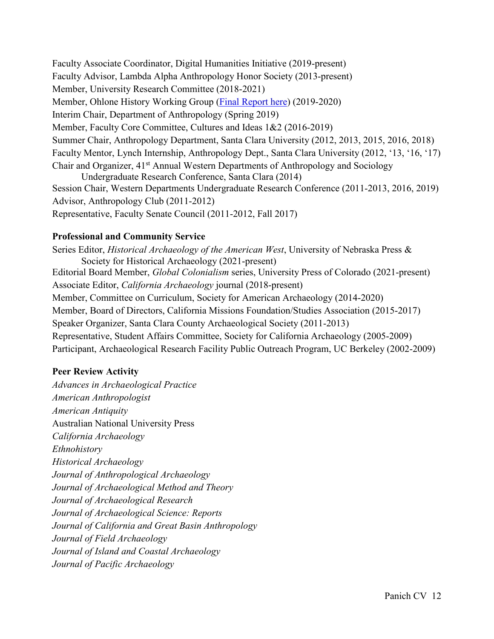Faculty Associate Coordinator, Digital Humanities Initiative (2019-present) Faculty Advisor, Lambda Alpha Anthropology Honor Society (2013-present) Member, University Research Committee (2018-2021) Member, Ohlone History Working Group [\(Final Report here\)](https://www.scu.edu/media/offices/diversity/pdfs/V10.2_OHWG_CombinedReportFINAL.pdf) (2019-2020) Interim Chair, Department of Anthropology (Spring 2019) Member, Faculty Core Committee, Cultures and Ideas 1&2 (2016-2019) Summer Chair, Anthropology Department, Santa Clara University (2012, 2013, 2015, 2016, 2018) Faculty Mentor, Lynch Internship, Anthropology Dept., Santa Clara University (2012, '13, '16, '17) Chair and Organizer, 41<sup>st</sup> Annual Western Departments of Anthropology and Sociology Undergraduate Research Conference, Santa Clara (2014) Session Chair, Western Departments Undergraduate Research Conference (2011-2013, 2016, 2019) Advisor, Anthropology Club (2011-2012)

Representative, Faculty Senate Council (2011-2012, Fall 2017)

# **Professional and Community Service**

Series Editor, *Historical Archaeology of the American West*, University of Nebraska Press & Society for Historical Archaeology (2021-present) Editorial Board Member, *Global Colonialism* series, University Press of Colorado (2021-present) Associate Editor, *California Archaeology* journal (2018-present) Member, Committee on Curriculum, Society for American Archaeology (2014-2020) Member, Board of Directors, California Missions Foundation/Studies Association (2015-2017) Speaker Organizer, Santa Clara County Archaeological Society (2011-2013) Representative, Student Affairs Committee, Society for California Archaeology (2005-2009) Participant, Archaeological Research Facility Public Outreach Program, UC Berkeley (2002-2009)

# **Peer Review Activity**

*Advances in Archaeological Practice American Anthropologist American Antiquity*  Australian National University Press *California Archaeology Ethnohistory Historical Archaeology Journal of Anthropological Archaeology Journal of Archaeological Method and Theory Journal of Archaeological Research Journal of Archaeological Science: Reports Journal of California and Great Basin Anthropology Journal of Field Archaeology Journal of Island and Coastal Archaeology Journal of Pacific Archaeology*